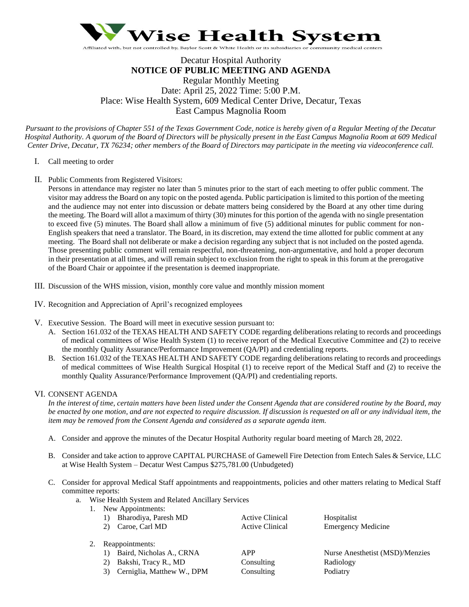

# Decatur Hospital Authority **NOTICE OF PUBLIC MEETING AND AGENDA** Regular Monthly Meeting Date: April 25, 2022 Time: 5:00 P.M. Place: Wise Health System, 609 Medical Center Drive, Decatur, Texas East Campus Magnolia Room

*Pursuant to the provisions of Chapter 551 of the Texas Government Code, notice is hereby given of a Regular Meeting of the Decatur Hospital Authority. A quorum of the Board of Directors will be physically present in the East Campus Magnolia Room at 609 Medical Center Drive, Decatur, TX 76234; other members of the Board of Directors may participate in the meeting via videoconference call.*

- I. Call meeting to order
- II. Public Comments from Registered Visitors:

Persons in attendance may register no later than 5 minutes prior to the start of each meeting to offer public comment. The visitor may address the Board on any topic on the posted agenda. Public participation is limited to this portion of the meeting and the audience may not enter into discussion or debate matters being considered by the Board at any other time during the meeting. The Board will allot a maximum of thirty (30) minutes for this portion of the agenda with no single presentation to exceed five (5) minutes. The Board shall allow a minimum of five (5) additional minutes for public comment for non-English speakers that need a translator. The Board, in its discretion, may extend the time allotted for public comment at any meeting. The Board shall not deliberate or make a decision regarding any subject that is not included on the posted agenda. Those presenting public comment will remain respectful, non-threatening, non-argumentative, and hold a proper decorum in their presentation at all times, and will remain subject to exclusion from the right to speak in this forum at the prerogative of the Board Chair or appointee if the presentation is deemed inappropriate.

- III. Discussion of the WHS mission, vision, monthly core value and monthly mission moment
- IV. Recognition and Appreciation of April's recognized employees
- V. Executive Session. The Board will meet in executive session pursuant to:
	- A. Section 161.032 of the TEXAS HEALTH AND SAFETY CODE regarding deliberations relating to records and proceedings of medical committees of Wise Health System (1) to receive report of the Medical Executive Committee and (2) to receive the monthly Quality Assurance/Performance Improvement (QA/PI) and credentialing reports.
	- B. Section 161.032 of the TEXAS HEALTH AND SAFETY CODE regarding deliberations relating to records and proceedings of medical committees of Wise Health Surgical Hospital (1) to receive report of the Medical Staff and (2) to receive the monthly Quality Assurance/Performance Improvement (QA/PI) and credentialing reports.

## VI. CONSENT AGENDA

*In the interest of time, certain matters have been listed under the Consent Agenda that are considered routine by the Board, may be enacted by one motion, and are not expected to require discussion. If discussion is requested on all or any individual item, the item may be removed from the Consent Agenda and considered as a separate agenda item.* 

- A. Consider and approve the minutes of the Decatur Hospital Authority regular board meeting of March 28, 2022.
- B. Consider and take action to approve CAPITAL PURCHASE of Gamewell Fire Detection from Entech Sales & Service, LLC at Wise Health System – Decatur West Campus \$275,781.00 (Unbudgeted)
- C. Consider for approval Medical Staff appointments and reappointments, policies and other matters relating to Medical Staff committee reports:
	- a. Wise Health System and Related Ancillary Services
		- 1. New Appointments:

| 1) Bharodiya, Paresh MD | Active Clinical | Hospitalist               |
|-------------------------|-----------------|---------------------------|
| 2) Caroe, Carl MD       | Active Clinical | <b>Emergency Medicine</b> |

- 2. Reappointments:
	-
	- 2) Bakshi, Tracy R., MD Consulting Radiology
	- 3) Cerniglia, Matthew W., DPM Consulting Podiatry
- 

1) Baird, Nicholas A., CRNA APP Nurse Anesthetist (MSD)/Menzies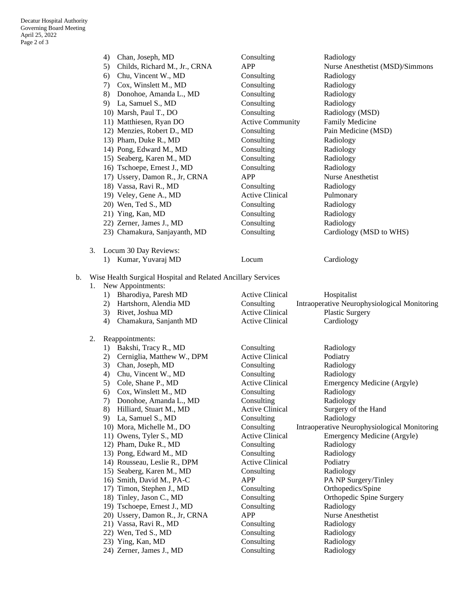|    |    | Chan, Joseph, MD<br>4)                                       | Consulting                           | Radiology                                                 |
|----|----|--------------------------------------------------------------|--------------------------------------|-----------------------------------------------------------|
|    |    | Childs, Richard M., Jr., CRNA<br>5)                          | <b>APP</b>                           | Nurse Anesthetist (MSD)/Simmons                           |
|    |    | 6) Chu, Vincent W., MD                                       | Consulting                           | Radiology                                                 |
|    |    | 7) Cox, Winslett M., MD                                      | Consulting                           | Radiology                                                 |
|    |    | 8) Donohoe, Amanda L., MD                                    | Consulting                           | Radiology                                                 |
|    |    | 9) La, Samuel S., MD                                         | Consulting                           | Radiology                                                 |
|    |    | 10) Marsh, Paul T., DO                                       | Consulting                           | Radiology (MSD)                                           |
|    |    | 11) Matthiesen, Ryan DO                                      | <b>Active Community</b>              | Family Medicine                                           |
|    |    | 12) Menzies, Robert D., MD                                   | Consulting                           | Pain Medicine (MSD)                                       |
|    |    | 13) Pham, Duke R., MD                                        | Consulting                           | Radiology                                                 |
|    |    | 14) Pong, Edward M., MD                                      | Consulting                           | Radiology                                                 |
|    |    | 15) Seaberg, Karen M., MD                                    | Consulting                           | Radiology                                                 |
|    |    | 16) Tschoepe, Ernest J., MD                                  | Consulting                           | Radiology                                                 |
|    |    | 17) Ussery, Damon R., Jr, CRNA                               | <b>APP</b>                           | Nurse Anesthetist                                         |
|    |    | 18) Vassa, Ravi R., MD                                       | Consulting                           | Radiology                                                 |
|    |    | 19) Veley, Gene A., MD                                       | <b>Active Clinical</b>               |                                                           |
|    |    |                                                              |                                      | Pulmonary                                                 |
|    |    | 20) Wen, Ted S., MD                                          | Consulting                           | Radiology                                                 |
|    |    | 21) Ying, Kan, MD                                            | Consulting                           | Radiology                                                 |
|    |    | 22) Zerner, James J., MD                                     | Consulting                           | Radiology                                                 |
|    |    | 23) Chamakura, Sanjayanth, MD                                | Consulting                           | Cardiology (MSD to WHS)                                   |
|    | 3. | Locum 30 Day Reviews:                                        |                                      |                                                           |
|    |    | 1) Kumar, Yuvaraj MD                                         | Locum                                | Cardiology                                                |
|    |    |                                                              |                                      |                                                           |
| b. |    | Wise Health Surgical Hospital and Related Ancillary Services |                                      |                                                           |
|    | 1. | New Appointments:                                            |                                      |                                                           |
|    |    | Bharodiya, Paresh MD<br>1)                                   | <b>Active Clinical</b>               | Hospitalist                                               |
|    |    | Hartshorn, Alendia MD<br>2)                                  | Consulting                           | Intraoperative Neurophysiological Monitoring              |
|    |    | 3) Rivet, Joshua MD                                          | <b>Active Clinical</b>               | <b>Plastic Surgery</b>                                    |
|    |    | Chamakura, Sanjanth MD<br>4)                                 | <b>Active Clinical</b>               | Cardiology                                                |
|    |    |                                                              |                                      |                                                           |
|    | 2. | Reappointments:                                              |                                      |                                                           |
|    |    | 1) Bakshi, Tracy R., MD                                      | Consulting                           | Radiology                                                 |
|    |    | 2) Cerniglia, Matthew W., DPM                                | <b>Active Clinical</b>               | Podiatry                                                  |
|    |    | Chan, Joseph, MD<br>3)                                       | Consulting                           | Radiology                                                 |
|    |    | Chu, Vincent W., MD<br>4)                                    | Consulting                           | Radiology                                                 |
|    |    | 5)<br>Cole, Shane P., MD                                     | <b>Active Clinical</b>               | Emergency Medicine (Argyle)                               |
|    |    | Cox, Winslett M., MD<br>6)                                   | Consulting                           | Radiology<br>Radiology                                    |
|    |    | 7) Donohoe, Amanda L., MD                                    | Consulting                           | Surgery of the Hand                                       |
|    |    | Hilliard, Stuart M., MD<br>8)                                | <b>Active Clinical</b><br>Consulting |                                                           |
|    |    | 9) La, Samuel S., MD                                         |                                      | Radiology<br>Intraoperative Neurophysiological Monitoring |
|    |    | 10) Mora, Michelle M., DO                                    | Consulting                           |                                                           |
|    |    | 11) Owens, Tyler S., MD                                      | <b>Active Clinical</b>               | Emergency Medicine (Argyle)                               |
|    |    | 12) Pham, Duke R., MD                                        | Consulting                           | Radiology                                                 |
|    |    | 13) Pong, Edward M., MD                                      | Consulting<br><b>Active Clinical</b> | Radiology                                                 |
|    |    | 14) Rousseau, Leslie R., DPM                                 |                                      | Podiatry                                                  |
|    |    | 15) Seaberg, Karen M., MD                                    | Consulting                           | Radiology                                                 |
|    |    | 16) Smith, David M., PA-C                                    | <b>APP</b>                           | PA NP Surgery/Tinley                                      |
|    |    | 17) Timon, Stephen J., MD                                    | Consulting                           | Orthopedics/Spine                                         |
|    |    | 18) Tinley, Jason C., MD                                     | Consulting                           | Orthopedic Spine Surgery                                  |
|    |    | 19) Tschoepe, Ernest J., MD                                  | Consulting                           | Radiology                                                 |
|    |    | 20) Ussery, Damon R., Jr, CRNA                               | <b>APP</b>                           | Nurse Anesthetist                                         |
|    |    | 21) Vassa, Ravi R., MD                                       | Consulting                           | Radiology                                                 |
|    |    | 22) Wen, Ted S., MD                                          | Consulting                           | Radiology                                                 |
|    |    | 23) Ying, Kan, MD                                            | Consulting                           | Radiology                                                 |
|    |    | 24) Zerner, James J., MD                                     | Consulting                           | Radiology                                                 |